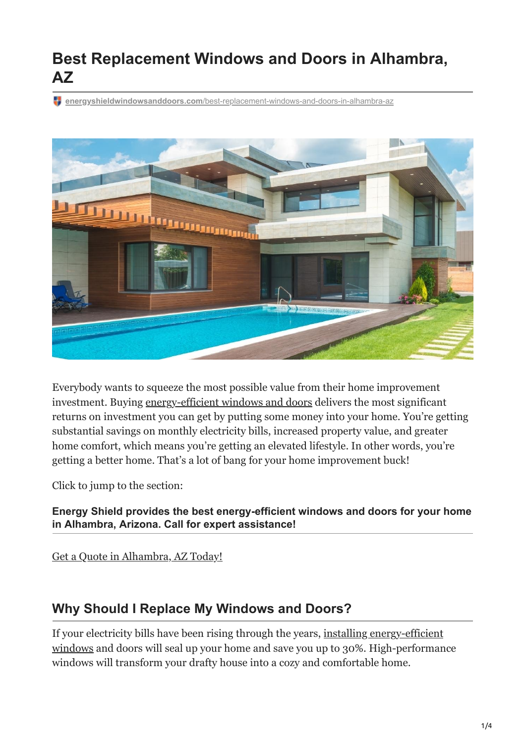# **Best Replacement Windows and Doors in Alhambra, AZ**

**energyshieldwindowsanddoors.com**[/best-replacement-windows-and-doors-in-alhambra-az](https://energyshieldwindowsanddoors.com/best-replacement-windows-and-doors-in-alhambra-az/)



Everybody wants to squeeze the most possible value from their home improvement investment. Buying [energy-efficient windows and doors](https://energyshieldwindowsanddoors.com/how-do-the-old-doors-compare-with-new-ones-on-the-market/) delivers the most significant returns on investment you can get by putting some money into your home. You're getting substantial savings on monthly electricity bills, increased property value, and greater home comfort, which means you're getting an elevated lifestyle. In other words, you're getting a better home. That's a lot of bang for your home improvement buck!

Click to jump to the section:

**Energy Shield provides the best energy-efficient windows and doors for your home in Alhambra, Arizona. Call for expert assistance!**

[Get a Quote in Alhambra, AZ Today!](https://energyshieldwindowsanddoors.com/contact/)

## **Why Should I Replace My Windows and Doors?**

If your electricity bills have been rising through the years, installing energy-efficient [windows and doors will seal up your home and save you up to 30%. High-performan](https://energyshieldwindowsanddoors.com/window-installation-cost/)ce windows will transform your drafty house into a cozy and comfortable home.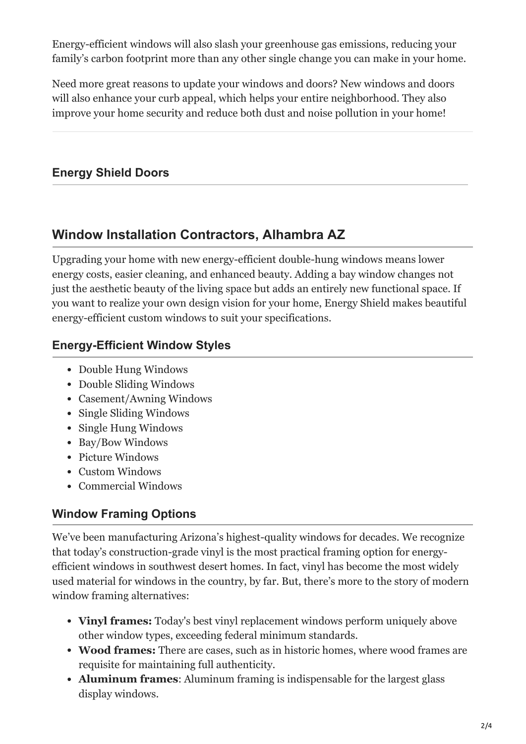Energy-efficient windows will also slash your greenhouse gas emissions, reducing your family's carbon footprint more than any other single change you can make in your home.

Need more great reasons to update your windows and doors? New windows and doors will also enhance your curb appeal, which helps your entire neighborhood. They also improve your home security and reduce both dust and noise pollution in your home!

### **Energy Shield Doors**

# **Window Installation Contractors, Alhambra AZ**

Upgrading your home with new energy-efficient double-hung windows means lower energy costs, easier cleaning, and enhanced beauty. Adding a bay window changes not just the aesthetic beauty of the living space but adds an entirely new functional space. If you want to realize your own design vision for your home, Energy Shield makes beautiful energy-efficient custom windows to suit your specifications.

#### **Energy-Efficient Window Styles**

- Double Hung Windows
- Double Sliding Windows
- Casement/Awning Windows
- Single Sliding Windows
- Single Hung Windows
- Bay/Bow Windows
- Picture Windows
- Custom Windows
- Commercial Windows

## **Window Framing Options**

We've been manufacturing Arizona's highest-quality windows for decades. We recognize that today's construction-grade vinyl is the most practical framing option for energyefficient windows in southwest desert homes. In fact, vinyl has become the most widely used material for windows in the country, by far. But, there's more to the story of modern window framing alternatives:

- **Vinyl frames:** Today's best vinyl replacement windows perform uniquely above other window types, exceeding federal minimum standards.
- **Wood frames:** There are cases, such as in historic homes, where wood frames are requisite for maintaining full authenticity.
- **Aluminum frames**: Aluminum framing is indispensable for the largest glass display windows.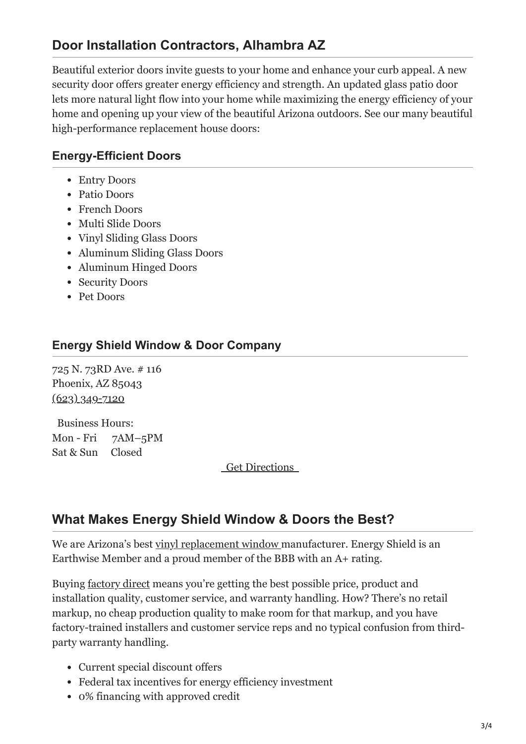# **Door Installation Contractors, Alhambra AZ**

Beautiful exterior doors invite guests to your home and enhance your curb appeal. A new security door offers greater energy efficiency and strength. An updated glass patio door lets more natural light flow into your home while maximizing the energy efficiency of your home and opening up your view of the beautiful Arizona outdoors. See our many beautiful high-performance replacement house doors:

#### **Energy-Efficient Doors**

- Entry Doors
- Patio Doors
- French Doors
- Multi Slide Doors
- Vinyl Sliding Glass Doors
- Aluminum Sliding Glass Doors
- Aluminum Hinged Doors
- Security Doors
- Pet Doors

#### **Energy Shield Window & Door Company**

725 N. 73RD Ave. # 116 Phoenix, AZ 85043 [\(623\) 349-7120](tel:+16233497120)

Business Hours: Mon - Fri 7AM–5PM Sat & Sun Closed

 [Get Directions](https://goo.gl/maps/NdeAEGRF1XRSjmdd6) 

#### **What Makes Energy Shield Window & Doors the Best?**

We are Arizona's best [vinyl replacement window](https://energyshieldwindowsanddoors.com/vinyl-windows-arizona/) manufacturer. Energy Shield is an Earthwise Member and a proud member of the BBB with an A+ rating.

Buying <u>factory direct</u> means you're getting the best possible price, product and installation quality, customer service, and warranty handling. How? There's no retail markup, no cheap production quality to make room for that markup, and you have factory-trained installers and customer service reps and no typical confusion from thirdparty warranty handling.

- Current special discount offers
- Federal tax incentives for energy efficiency investment
- 0% financing with approved credit